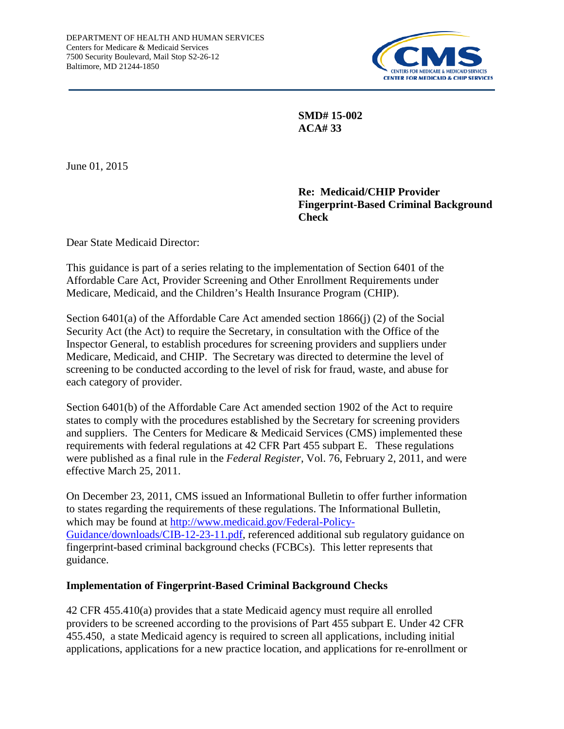

**SMD# 15-002 ACA# 33**

June 01, 2015

## **Re: Medicaid/CHIP Provider Fingerprint-Based Criminal Background Check**

Dear State Medicaid Director:

This guidance is part of a series relating to the implementation of Section 6401 of the Affordable Care Act, Provider Screening and Other Enrollment Requirements under Medicare, Medicaid, and the Children's Health Insurance Program (CHIP).

Section 6401(a) of the Affordable Care Act amended section 1866(j) (2) of the Social Security Act (the Act) to require the Secretary, in consultation with the Office of the Inspector General, to establish procedures for screening providers and suppliers under Medicare, Medicaid, and CHIP. The Secretary was directed to determine the level of screening to be conducted according to the level of risk for fraud, waste, and abuse for each category of provider.

Section 6401(b) of the Affordable Care Act amended section 1902 of the Act to require states to comply with the procedures established by the Secretary for screening providers and suppliers. The Centers for Medicare & Medicaid Services (CMS) implemented these requirements with federal regulations at 42 CFR Part 455 subpart E. These regulations were published as a final rule in the *Federal Register*, Vol. 76, February 2, 2011, and were effective March 25, 2011.

On December 23, 2011, CMS issued an Informational Bulletin to offer further information to states regarding the requirements of these regulations. The Informational Bulletin, which may be found at [http://www.medicaid.gov/Federal-Policy-](http://www.medicaid.gov/Federal-Policy-Guidance/downloads/CIB-12-23-11.pdf)[Guidance/downloads/CIB-12-23-11.pdf,](http://www.medicaid.gov/Federal-Policy-Guidance/downloads/CIB-12-23-11.pdf) referenced additional sub regulatory guidance on fingerprint-based criminal background checks (FCBCs). This letter represents that guidance.

#### **Implementation of Fingerprint-Based Criminal Background Checks**

42 CFR 455.410(a) provides that a state Medicaid agency must require all enrolled providers to be screened according to the provisions of Part 455 subpart E. Under 42 CFR 455.450, a state Medicaid agency is required to screen all applications, including initial applications, applications for a new practice location, and applications for re-enrollment or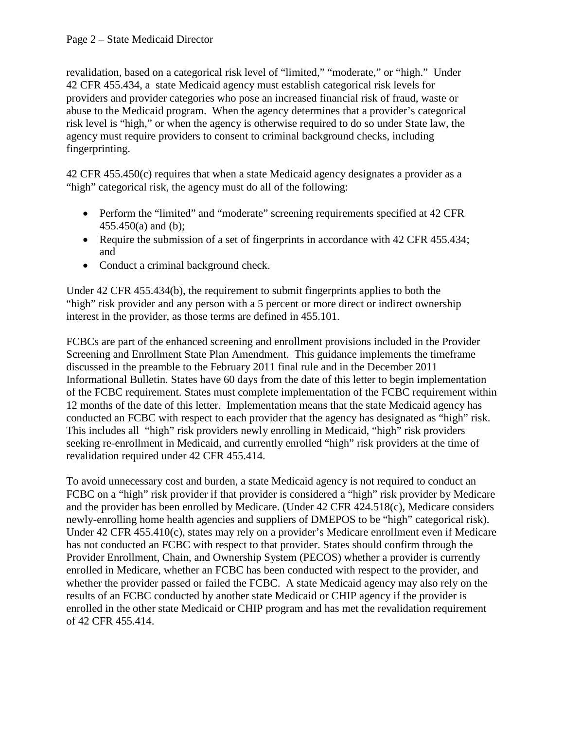revalidation, based on a categorical risk level of "limited," "moderate," or "high." Under 42 CFR 455.434, a state Medicaid agency must establish categorical risk levels for providers and provider categories who pose an increased financial risk of fraud, waste or abuse to the Medicaid program. When the agency determines that a provider's categorical risk level is "high," or when the agency is otherwise required to do so under State law, the agency must require providers to consent to criminal background checks, including fingerprinting.

42 CFR 455.450(c) requires that when a state Medicaid agency designates a provider as a "high" categorical risk, the agency must do all of the following:

- Perform the "limited" and "moderate" screening requirements specified at 42 CFR  $455.450(a)$  and (b);
- Require the submission of a set of fingerprints in accordance with 42 CFR 455.434; and
- Conduct a criminal background check.

Under 42 CFR 455.434(b), the requirement to submit fingerprints applies to both the "high" risk provider and any person with a 5 percent or more direct or indirect ownership interest in the provider, as those terms are defined in 455.101.

FCBCs are part of the enhanced screening and enrollment provisions included in the Provider Screening and Enrollment State Plan Amendment. This guidance implements the timeframe discussed in the preamble to the February 2011 final rule and in the December 2011 Informational Bulletin. States have 60 days from the date of this letter to begin implementation of the FCBC requirement. States must complete implementation of the FCBC requirement within 12 months of the date of this letter. Implementation means that the state Medicaid agency has conducted an FCBC with respect to each provider that the agency has designated as "high" risk. This includes all "high" risk providers newly enrolling in Medicaid, "high" risk providers seeking re-enrollment in Medicaid, and currently enrolled "high" risk providers at the time of revalidation required under 42 CFR 455.414.

To avoid unnecessary cost and burden, a state Medicaid agency is not required to conduct an FCBC on a "high" risk provider if that provider is considered a "high" risk provider by Medicare and the provider has been enrolled by Medicare. (Under 42 CFR 424.518(c), Medicare considers newly-enrolling home health agencies and suppliers of DMEPOS to be "high" categorical risk). Under 42 CFR 455.410(c), states may rely on a provider's Medicare enrollment even if Medicare has not conducted an FCBC with respect to that provider. States should confirm through the Provider Enrollment, Chain, and Ownership System (PECOS) whether a provider is currently enrolled in Medicare, whether an FCBC has been conducted with respect to the provider, and whether the provider passed or failed the FCBC. A state Medicaid agency may also rely on the results of an FCBC conducted by another state Medicaid or CHIP agency if the provider is enrolled in the other state Medicaid or CHIP program and has met the revalidation requirement of 42 CFR 455.414.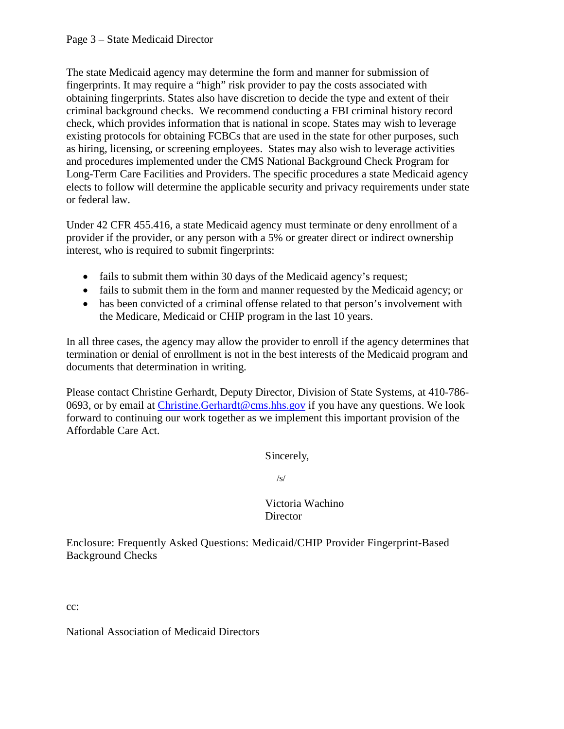The state Medicaid agency may determine the form and manner for submission of fingerprints. It may require a "high" risk provider to pay the costs associated with obtaining fingerprints. States also have discretion to decide the type and extent of their criminal background checks. We recommend conducting a FBI criminal history record check, which provides information that is national in scope. States may wish to leverage existing protocols for obtaining FCBCs that are used in the state for other purposes, such as hiring, licensing, or screening employees. States may also wish to leverage activities and procedures implemented under the CMS National Background Check Program for Long-Term Care Facilities and Providers. The specific procedures a state Medicaid agency elects to follow will determine the applicable security and privacy requirements under state or federal law.

Under 42 CFR 455.416, a state Medicaid agency must terminate or deny enrollment of a provider if the provider, or any person with a 5% or greater direct or indirect ownership interest, who is required to submit fingerprints:

- fails to submit them within 30 days of the Medicaid agency's request;
- fails to submit them in the form and manner requested by the Medicaid agency; or
- has been convicted of a criminal offense related to that person's involvement with the Medicare, Medicaid or CHIP program in the last 10 years.

In all three cases, the agency may allow the provider to enroll if the agency determines that termination or denial of enrollment is not in the best interests of the Medicaid program and documents that determination in writing.

Please contact Christine Gerhardt, Deputy Director, Division of State Systems, at 410-786- 0693, or by email at Christine. Gerhardt@cms.hhs.gov if you have any questions. We look forward to continuing our work together as we implement this important provision of the Affordable Care Act.

Sincerely,

/s/

## Victoria Wachino **Director**

Enclosure: Frequently Asked Questions: Medicaid/CHIP Provider Fingerprint-Based Background Checks

cc:

National Association of Medicaid Directors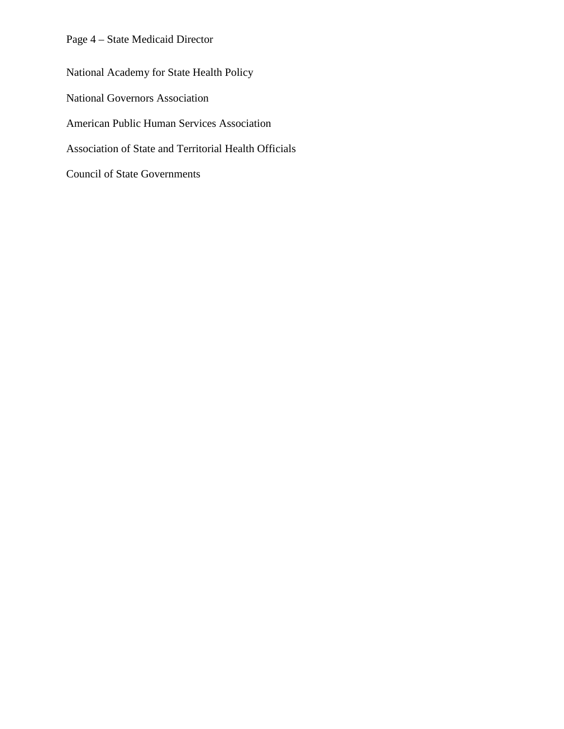Page 4 – State Medicaid Director

National Academy for State Health Policy National Governors Association American Public Human Services Association Association of State and Territorial Health Officials Council of State Governments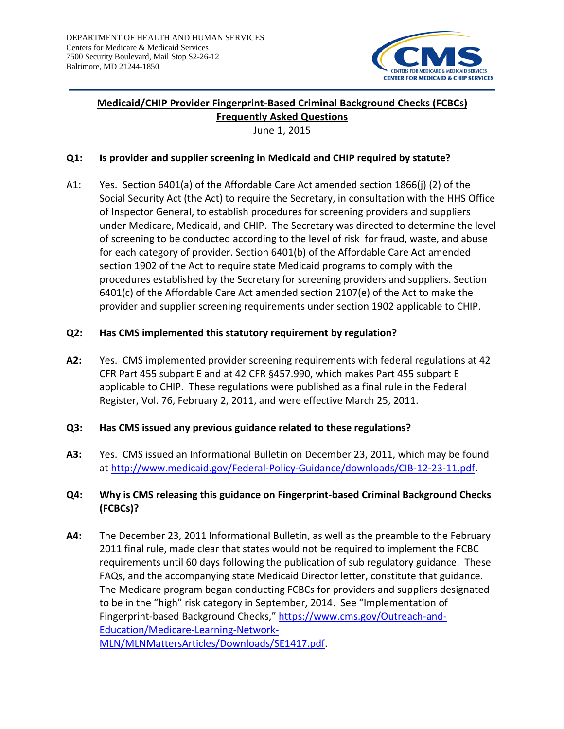

## **Medicaid/CHIP Provider Fingerprint-Based Criminal Background Checks (FCBCs) Frequently Asked Questions**

June 1, 2015

#### **Q1: Is provider and supplier screening in Medicaid and CHIP required by statute?**

A1: Yes. Section 6401(a) of the Affordable Care Act amended section 1866(j) (2) of the Social Security Act (the Act) to require the Secretary, in consultation with the HHS Office of Inspector General, to establish procedures for screening providers and suppliers under Medicare, Medicaid, and CHIP. The Secretary was directed to determine the level of screening to be conducted according to the level of risk for fraud, waste, and abuse for each category of provider. Section 6401(b) of the Affordable Care Act amended section 1902 of the Act to require state Medicaid programs to comply with the procedures established by the Secretary for screening providers and suppliers. Section 6401(c) of the Affordable Care Act amended section 2107(e) of the Act to make the provider and supplier screening requirements under section 1902 applicable to CHIP.

#### **Q2: Has CMS implemented this statutory requirement by regulation?**

**A2:** Yes. CMS implemented provider screening requirements with federal regulations at 42 CFR Part 455 subpart E and at 42 CFR §457.990, which makes Part 455 subpart E applicable to CHIP. These regulations were published as a final rule in the Federal Register, Vol. 76, February 2, 2011, and were effective March 25, 2011.

#### **Q3: Has CMS issued any previous guidance related to these regulations?**

**A3:** Yes. CMS issued an Informational Bulletin on December 23, 2011, which may be found at [http://www.medicaid.gov/Federal-Policy-Guidance/downloads/CIB-12-23-11.pdf.](http://www.medicaid.gov/Federal-Policy-Guidance/downloads/CIB-12-23-11.pdf)

# **Q4: Why is CMS releasing this guidance on Fingerprint-based Criminal Background Checks (FCBCs)?**

**A4:** The December 23, 2011 Informational Bulletin, as well as the preamble to the February 2011 final rule, made clear that states would not be required to implement the FCBC requirements until 60 days following the publication of sub regulatory guidance. These FAQs, and the accompanying state Medicaid Director letter, constitute that guidance. The Medicare program began conducting FCBCs for providers and suppliers designated to be in the "high" risk category in September, 2014. See "Implementation of Fingerprint-based Background Checks," [https://www.cms.gov/Outreach-and-](https://www.cms.gov/Outreach-and-Education/Medicare-Learning-Network-MLN/MLNMattersArticles/Downloads/SE1417.pdf)[Education/Medicare-Learning-Network-](https://www.cms.gov/Outreach-and-Education/Medicare-Learning-Network-MLN/MLNMattersArticles/Downloads/SE1417.pdf)[MLN/MLNMattersArticles/Downloads/SE1417.pdf.](https://www.cms.gov/Outreach-and-Education/Medicare-Learning-Network-MLN/MLNMattersArticles/Downloads/SE1417.pdf)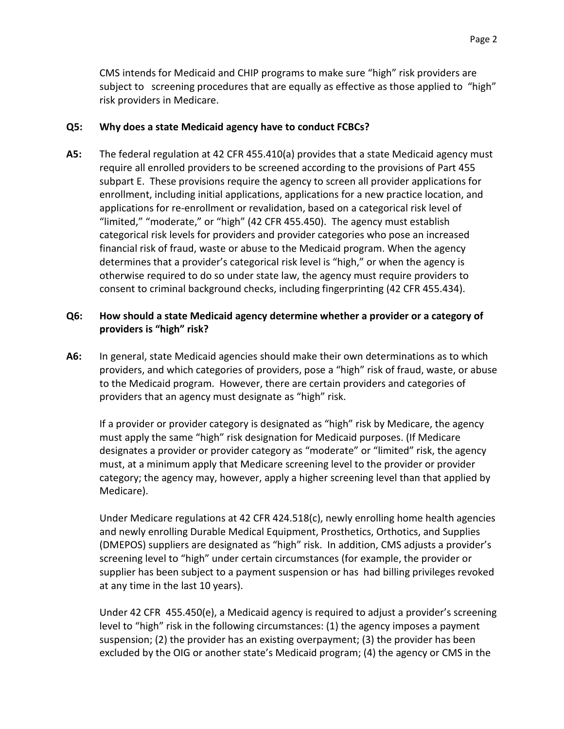CMS intends for Medicaid and CHIP programs to make sure "high" risk providers are subject to screening procedures that are equally as effective as those applied to "high" risk providers in Medicare.

#### **Q5: Why does a state Medicaid agency have to conduct FCBCs?**

**A5:** The federal regulation at 42 CFR 455.410(a) provides that a state Medicaid agency must require all enrolled providers to be screened according to the provisions of Part 455 subpart E. These provisions require the agency to screen all provider applications for enrollment, including initial applications, applications for a new practice location, and applications for re-enrollment or revalidation, based on a categorical risk level of "limited," "moderate," or "high" (42 CFR 455.450). The agency must establish categorical risk levels for providers and provider categories who pose an increased financial risk of fraud, waste or abuse to the Medicaid program. When the agency determines that a provider's categorical risk level is "high," or when the agency is otherwise required to do so under state law, the agency must require providers to consent to criminal background checks, including fingerprinting (42 CFR 455.434).

#### **Q6: How should a state Medicaid agency determine whether a provider or a category of providers is "high" risk?**

**A6:** In general, state Medicaid agencies should make their own determinations as to which providers, and which categories of providers, pose a "high" risk of fraud, waste, or abuse to the Medicaid program. However, there are certain providers and categories of providers that an agency must designate as "high" risk.

If a provider or provider category is designated as "high" risk by Medicare, the agency must apply the same "high" risk designation for Medicaid purposes. (If Medicare designates a provider or provider category as "moderate" or "limited" risk, the agency must, at a minimum apply that Medicare screening level to the provider or provider category; the agency may, however, apply a higher screening level than that applied by Medicare).

Under Medicare regulations at 42 CFR 424.518(c), newly enrolling home health agencies and newly enrolling Durable Medical Equipment, Prosthetics, Orthotics, and Supplies (DMEPOS) suppliers are designated as "high" risk. In addition, CMS adjusts a provider's screening level to "high" under certain circumstances (for example, the provider or supplier has been subject to a payment suspension or has had billing privileges revoked at any time in the last 10 years).

Under 42 CFR 455.450(e), a Medicaid agency is required to adjust a provider's screening level to "high" risk in the following circumstances: (1) the agency imposes a payment suspension; (2) the provider has an existing overpayment; (3) the provider has been excluded by the OIG or another state's Medicaid program; (4) the agency or CMS in the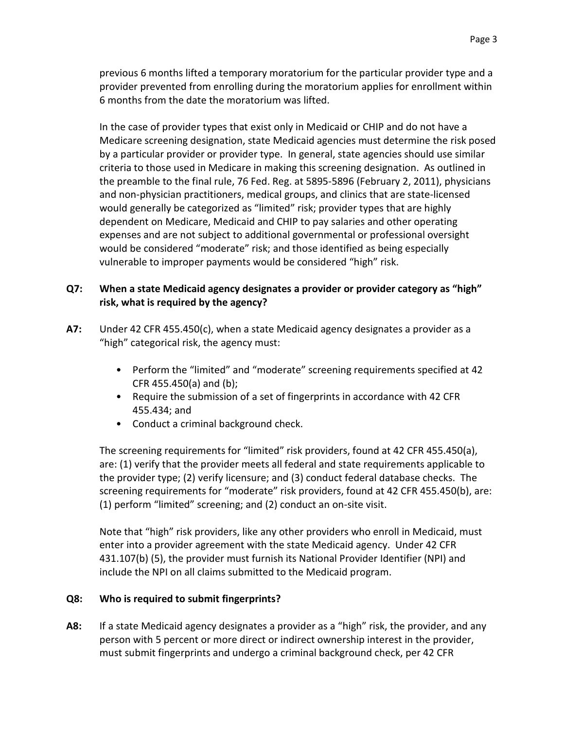previous 6 months lifted a temporary moratorium for the particular provider type and a provider prevented from enrolling during the moratorium applies for enrollment within 6 months from the date the moratorium was lifted.

In the case of provider types that exist only in Medicaid or CHIP and do not have a Medicare screening designation, state Medicaid agencies must determine the risk posed by a particular provider or provider type. In general, state agencies should use similar criteria to those used in Medicare in making this screening designation. As outlined in the preamble to the final rule, 76 Fed. Reg. at 5895-5896 (February 2, 2011), physicians and non-physician practitioners, medical groups, and clinics that are state-licensed would generally be categorized as "limited" risk; provider types that are highly dependent on Medicare, Medicaid and CHIP to pay salaries and other operating expenses and are not subject to additional governmental or professional oversight would be considered "moderate" risk; and those identified as being especially vulnerable to improper payments would be considered "high" risk.

## **Q7: When a state Medicaid agency designates a provider or provider category as "high" risk, what is required by the agency?**

- **A7:** Under 42 CFR 455.450(c), when a state Medicaid agency designates a provider as a "high" categorical risk, the agency must:
	- Perform the "limited" and "moderate" screening requirements specified at 42 CFR 455.450(a) and (b);
	- Require the submission of a set of fingerprints in accordance with 42 CFR 455.434; and
	- Conduct a criminal background check.

The screening requirements for "limited" risk providers, found at 42 CFR 455.450(a), are: (1) verify that the provider meets all federal and state requirements applicable to the provider type; (2) verify licensure; and (3) conduct federal database checks. The screening requirements for "moderate" risk providers, found at 42 CFR 455.450(b), are: (1) perform "limited" screening; and (2) conduct an on-site visit.

Note that "high" risk providers, like any other providers who enroll in Medicaid, must enter into a provider agreement with the state Medicaid agency. Under 42 CFR 431.107(b) (5), the provider must furnish its National Provider Identifier (NPI) and include the NPI on all claims submitted to the Medicaid program.

## **Q8: Who is required to submit fingerprints?**

**A8:** If a state Medicaid agency designates a provider as a "high" risk, the provider, and any person with 5 percent or more direct or indirect ownership interest in the provider, must submit fingerprints and undergo a criminal background check, per 42 CFR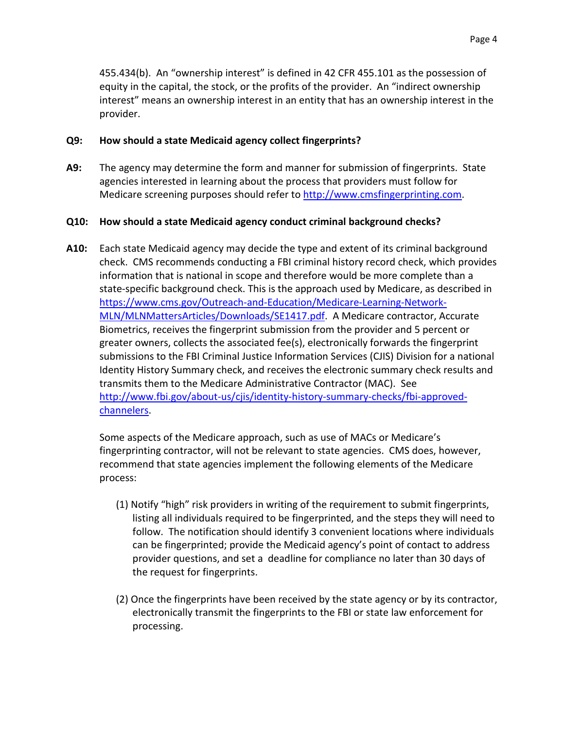455.434(b). An "ownership interest" is defined in 42 CFR 455.101 as the possession of equity in the capital, the stock, or the profits of the provider. An "indirect ownership interest" means an ownership interest in an entity that has an ownership interest in the provider.

#### **Q9: How should a state Medicaid agency collect fingerprints?**

**A9:** The agency may determine the form and manner for submission of fingerprints. State agencies interested in learning about the process that providers must follow for Medicare screening purposes should refer to [http://www.cmsfingerprinting.com.](http://www.cmsfingerprinting.com/)

#### **Q10: How should a state Medicaid agency conduct criminal background checks?**

**A10:** Each state Medicaid agency may decide the type and extent of its criminal background check. CMS recommends conducting a FBI criminal history record check, which provides information that is national in scope and therefore would be more complete than a state-specific background check. This is the approach used by Medicare, as described in [https://www.cms.gov/Outreach-and-Education/Medicare-Learning-Network-](https://www.cms.gov/Outreach-and-Education/Medicare-Learning-Network-MLN/MLNMattersArticles/Downloads/SE1417.pdf)[MLN/MLNMattersArticles/Downloads/SE1417.pdf.](https://www.cms.gov/Outreach-and-Education/Medicare-Learning-Network-MLN/MLNMattersArticles/Downloads/SE1417.pdf) A Medicare contractor, Accurate Biometrics, receives the fingerprint submission from the provider and 5 percent or greater owners, collects the associated fee(s), electronically forwards the fingerprint submissions to the FBI Criminal Justice Information Services (CJIS) Division for a national Identity History Summary check, and receives the electronic summary check results and transmits them to the Medicare Administrative Contractor (MAC). See [http://www.fbi.gov/about-us/cjis/identity-history-summary-checks/fbi-approved](http://www.fbi.gov/about-us/cjis/identity-history-summary-checks/fbi-approved-channelers)[channelers.](http://www.fbi.gov/about-us/cjis/identity-history-summary-checks/fbi-approved-channelers)

Some aspects of the Medicare approach, such as use of MACs or Medicare's fingerprinting contractor, will not be relevant to state agencies. CMS does, however, recommend that state agencies implement the following elements of the Medicare process:

- (1) Notify "high" risk providers in writing of the requirement to submit fingerprints, listing all individuals required to be fingerprinted, and the steps they will need to follow. The notification should identify 3 convenient locations where individuals can be fingerprinted; provide the Medicaid agency's point of contact to address provider questions, and set a deadline for compliance no later than 30 days of the request for fingerprints.
- (2) Once the fingerprints have been received by the state agency or by its contractor, electronically transmit the fingerprints to the FBI or state law enforcement for processing.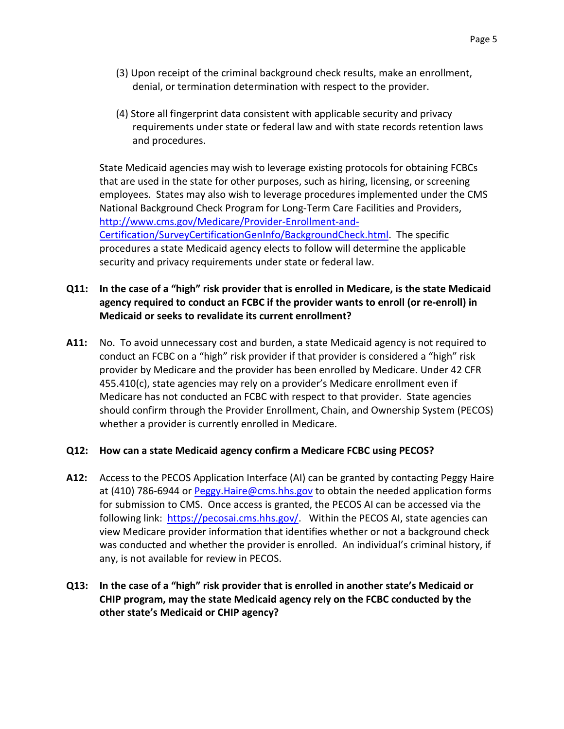- (3) Upon receipt of the criminal background check results, make an enrollment, denial, or termination determination with respect to the provider.
- (4) Store all fingerprint data consistent with applicable security and privacy requirements under state or federal law and with state records retention laws and procedures.

State Medicaid agencies may wish to leverage existing protocols for obtaining FCBCs that are used in the state for other purposes, such as hiring, licensing, or screening employees. States may also wish to leverage procedures implemented under the CMS National Background Check Program for Long-Term Care Facilities and Providers, [http://www.cms.gov/Medicare/Provider-Enrollment-and-](http://www.cms.gov/Medicare/Provider-Enrollment-and-Certification/SurveyCertificationGenInfo/BackgroundCheck.html)[Certification/SurveyCertificationGenInfo/BackgroundCheck.html.](http://www.cms.gov/Medicare/Provider-Enrollment-and-Certification/SurveyCertificationGenInfo/BackgroundCheck.html) The specific procedures a state Medicaid agency elects to follow will determine the applicable security and privacy requirements under state or federal law.

## **Q11: In the case of a "high" risk provider that is enrolled in Medicare, is the state Medicaid agency required to conduct an FCBC if the provider wants to enroll (or re-enroll) in Medicaid or seeks to revalidate its current enrollment?**

**A11:** No. To avoid unnecessary cost and burden, a state Medicaid agency is not required to conduct an FCBC on a "high" risk provider if that provider is considered a "high" risk provider by Medicare and the provider has been enrolled by Medicare. Under 42 CFR 455.410(c), state agencies may rely on a provider's Medicare enrollment even if Medicare has not conducted an FCBC with respect to that provider. State agencies should confirm through the Provider Enrollment, Chain, and Ownership System (PECOS) whether a provider is currently enrolled in Medicare.

#### **Q12: How can a state Medicaid agency confirm a Medicare FCBC using PECOS?**

**A12:** Access to the PECOS Application Interface (AI) can be granted by contacting Peggy Haire at (410) 786-6944 or [Peggy.Haire@cms.hhs.gov](mailto:Peggy.Haire@cms.hhs.gov) to obtain the needed application forms for submission to CMS. Once access is granted, the PECOS AI can be accessed via the following link: [https://pecosai.cms.hhs.gov/.](https://pecosai.cms.hhs.gov/) Within the PECOS AI, state agencies can view Medicare provider information that identifies whether or not a background check was conducted and whether the provider is enrolled. An individual's criminal history, if any, is not available for review in PECOS.

# **Q13: In the case of a "high" risk provider that is enrolled in another state's Medicaid or CHIP program, may the state Medicaid agency rely on the FCBC conducted by the other state's Medicaid or CHIP agency?**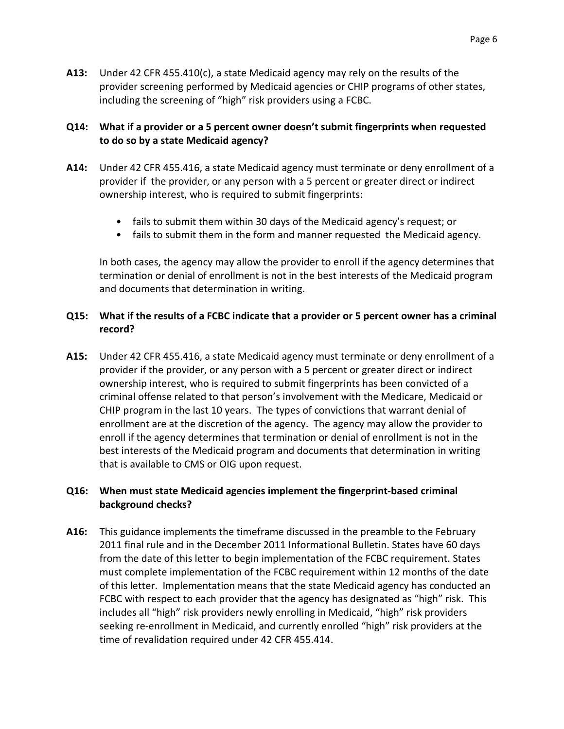**A13:** Under 42 CFR 455.410(c), a state Medicaid agency may rely on the results of the provider screening performed by Medicaid agencies or CHIP programs of other states, including the screening of "high" risk providers using a FCBC.

## **Q14: What if a provider or a 5 percent owner doesn't submit fingerprints when requested to do so by a state Medicaid agency?**

- **A14:** Under 42 CFR 455.416, a state Medicaid agency must terminate or deny enrollment of a provider if the provider, or any person with a 5 percent or greater direct or indirect ownership interest, who is required to submit fingerprints:
	- fails to submit them within 30 days of the Medicaid agency's request; or
	- fails to submit them in the form and manner requested the Medicaid agency.

In both cases, the agency may allow the provider to enroll if the agency determines that termination or denial of enrollment is not in the best interests of the Medicaid program and documents that determination in writing.

## **Q15: What if the results of a FCBC indicate that a provider or 5 percent owner has a criminal record?**

**A15:** Under 42 CFR 455.416, a state Medicaid agency must terminate or deny enrollment of a provider if the provider, or any person with a 5 percent or greater direct or indirect ownership interest, who is required to submit fingerprints has been convicted of a criminal offense related to that person's involvement with the Medicare, Medicaid or CHIP program in the last 10 years. The types of convictions that warrant denial of enrollment are at the discretion of the agency. The agency may allow the provider to enroll if the agency determines that termination or denial of enrollment is not in the best interests of the Medicaid program and documents that determination in writing that is available to CMS or OIG upon request.

#### **Q16: When must state Medicaid agencies implement the fingerprint-based criminal background checks?**

**A16:** This guidance implements the timeframe discussed in the preamble to the February 2011 final rule and in the December 2011 Informational Bulletin. States have 60 days from the date of this letter to begin implementation of the FCBC requirement. States must complete implementation of the FCBC requirement within 12 months of the date of this letter. Implementation means that the state Medicaid agency has conducted an FCBC with respect to each provider that the agency has designated as "high" risk. This includes all "high" risk providers newly enrolling in Medicaid, "high" risk providers seeking re-enrollment in Medicaid, and currently enrolled "high" risk providers at the time of revalidation required under 42 CFR 455.414.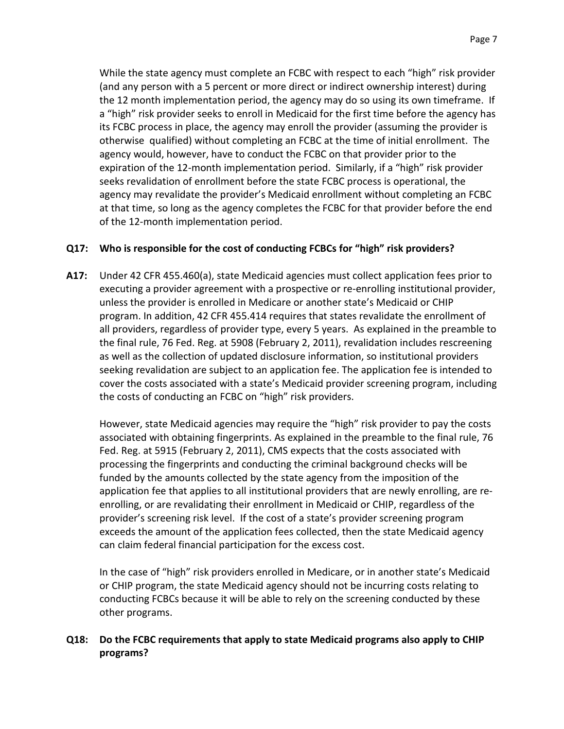While the state agency must complete an FCBC with respect to each "high" risk provider (and any person with a 5 percent or more direct or indirect ownership interest) during the 12 month implementation period, the agency may do so using its own timeframe. If a "high" risk provider seeks to enroll in Medicaid for the first time before the agency has its FCBC process in place, the agency may enroll the provider (assuming the provider is otherwise qualified) without completing an FCBC at the time of initial enrollment. The agency would, however, have to conduct the FCBC on that provider prior to the expiration of the 12-month implementation period. Similarly, if a "high" risk provider seeks revalidation of enrollment before the state FCBC process is operational, the agency may revalidate the provider's Medicaid enrollment without completing an FCBC at that time, so long as the agency completes the FCBC for that provider before the end of the 12-month implementation period.

# **Q17: Who is responsible for the cost of conducting FCBCs for "high" risk providers?**

**A17:** Under 42 CFR 455.460(a), state Medicaid agencies must collect application fees prior to executing a provider agreement with a prospective or re-enrolling institutional provider, unless the provider is enrolled in Medicare or another state's Medicaid or CHIP program. In addition, 42 CFR 455.414 requires that states revalidate the enrollment of all providers, regardless of provider type, every 5 years. As explained in the preamble to the final rule, 76 Fed. Reg. at 5908 (February 2, 2011), revalidation includes rescreening as well as the collection of updated disclosure information, so institutional providers seeking revalidation are subject to an application fee. The application fee is intended to cover the costs associated with a state's Medicaid provider screening program, including the costs of conducting an FCBC on "high" risk providers.

However, state Medicaid agencies may require the "high" risk provider to pay the costs associated with obtaining fingerprints. As explained in the preamble to the final rule, 76 Fed. Reg. at 5915 (February 2, 2011), CMS expects that the costs associated with processing the fingerprints and conducting the criminal background checks will be funded by the amounts collected by the state agency from the imposition of the application fee that applies to all institutional providers that are newly enrolling, are reenrolling, or are revalidating their enrollment in Medicaid or CHIP, regardless of the provider's screening risk level. If the cost of a state's provider screening program exceeds the amount of the application fees collected, then the state Medicaid agency can claim federal financial participation for the excess cost.

In the case of "high" risk providers enrolled in Medicare, or in another state's Medicaid or CHIP program, the state Medicaid agency should not be incurring costs relating to conducting FCBCs because it will be able to rely on the screening conducted by these other programs.

# **Q18: Do the FCBC requirements that apply to state Medicaid programs also apply to CHIP programs?**